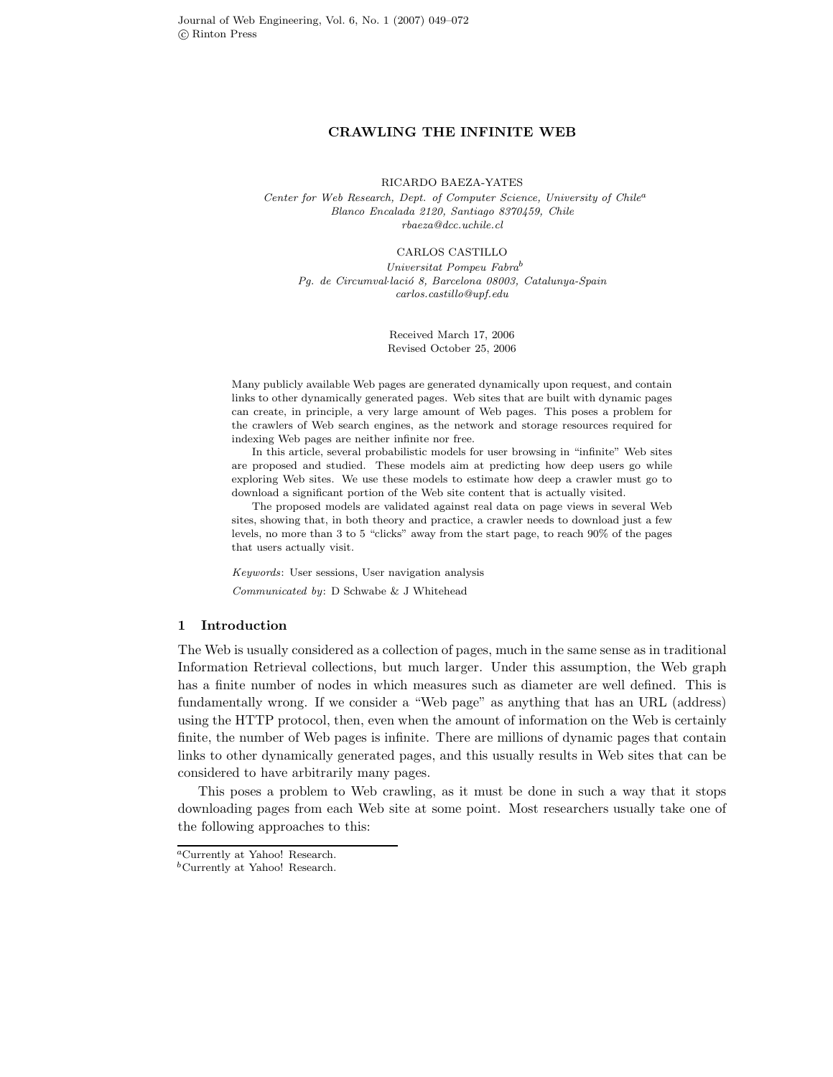# **CRAWLING THE INFINITE WEB**

RICARDO BAEZA-YATES

*Center for Web Research, Dept. of Computer Science, University of Chile<sup>a</sup> Blanco Encalada 2120, Santiago 8370459, Chile rbaeza@dcc.uchile.cl*

CARLOS CASTILLO

*Universitat Pompeu Fabra<sup>b</sup> Pg. de Circumval*·*laci´o 8, Barcelona 08003, Catalunya-Spain carlos.castillo@upf.edu*

> Received March 17, 2006 Revised October 25, 2006

Many publicly available Web pages are generated dynamically upon request, and contain links to other dynamically generated pages. Web sites that are built with dynamic pages can create, in principle, a very large amount of Web pages. This poses a problem for the crawlers of Web search engines, as the network and storage resources required for indexing Web pages are neither infinite nor free.

In this article, several probabilistic models for user browsing in "infinite" Web sites are proposed and studied. These models aim at predicting how deep users go while exploring Web sites. We use these models to estimate how deep a crawler must go to download a significant portion of the Web site content that is actually visited.

The proposed models are validated against real data on page views in several Web sites, showing that, in both theory and practice, a crawler needs to download just a few levels, no more than 3 to 5 "clicks" away from the start page, to reach 90% of the pages that users actually visit.

*Keywords*: User sessions, User navigation analysis *Communicated by*: D Schwabe & J Whitehead

# **1 Introduction**

The Web is usually considered as a collection of pages, much in the same sense as in traditional Information Retrieval collections, but much larger. Under this assumption, the Web graph has a finite number of nodes in which measures such as diameter are well defined. This is fundamentally wrong. If we consider a "Web page" as anything that has an URL (address) using the HTTP protocol, then, even when the amount of information on the Web is certainly finite, the number of Web pages is infinite. There are millions of dynamic pages that contain links to other dynamically generated pages, and this usually results in Web sites that can be considered to have arbitrarily many pages.

This poses a problem to Web crawling, as it must be done in such a way that it stops downloading pages from each Web site at some point. Most researchers usually take one of the following approaches to this:

*<sup>a</sup>*Currently at Yahoo! Research.

*<sup>b</sup>*Currently at Yahoo! Research.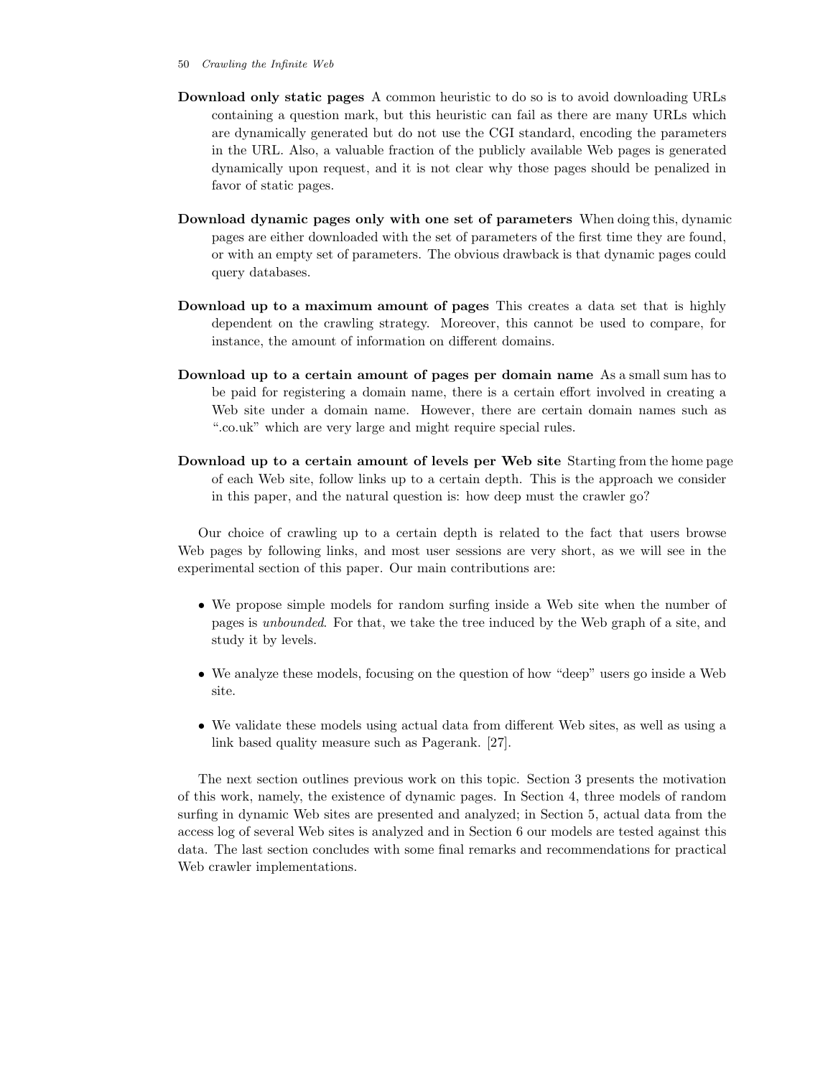- 50 *Crawling the Infinite Web*
- **Download only static pages** A common heuristic to do so is to avoid downloading URLs containing a question mark, but this heuristic can fail as there are many URLs which are dynamically generated but do not use the CGI standard, encoding the parameters in the URL. Also, a valuable fraction of the publicly available Web pages is generated dynamically upon request, and it is not clear why those pages should be penalized in favor of static pages.
- **Download dynamic pages only with one set of parameters** When doing this, dynamic pages are either downloaded with the set of parameters of the first time they are found, or with an empty set of parameters. The obvious drawback is that dynamic pages could query databases.
- **Download up to a maximum amount of pages** This creates a data set that is highly dependent on the crawling strategy. Moreover, this cannot be used to compare, for instance, the amount of information on different domains.
- **Download up to a certain amount of pages per domain name** As a small sum has to be paid for registering a domain name, there is a certain effort involved in creating a Web site under a domain name. However, there are certain domain names such as ".co.uk" which are very large and might require special rules.
- **Download up to a certain amount of levels per Web site** Starting from the home page of each Web site, follow links up to a certain depth. This is the approach we consider in this paper, and the natural question is: how deep must the crawler go?

Our choice of crawling up to a certain depth is related to the fact that users browse Web pages by following links, and most user sessions are very short, as we will see in the experimental section of this paper. Our main contributions are:

- We propose simple models for random surfing inside a Web site when the number of pages is *unbounded*. For that, we take the tree induced by the Web graph of a site, and study it by levels.
- We analyze these models, focusing on the question of how "deep" users go inside a Web site.
- We validate these models using actual data from different Web sites, as well as using a link based quality measure such as Pagerank. [27].

The next section outlines previous work on this topic. Section 3 presents the motivation of this work, namely, the existence of dynamic pages. In Section 4, three models of random surfing in dynamic Web sites are presented and analyzed; in Section 5, actual data from the access log of several Web sites is analyzed and in Section 6 our models are tested against this data. The last section concludes with some final remarks and recommendations for practical Web crawler implementations.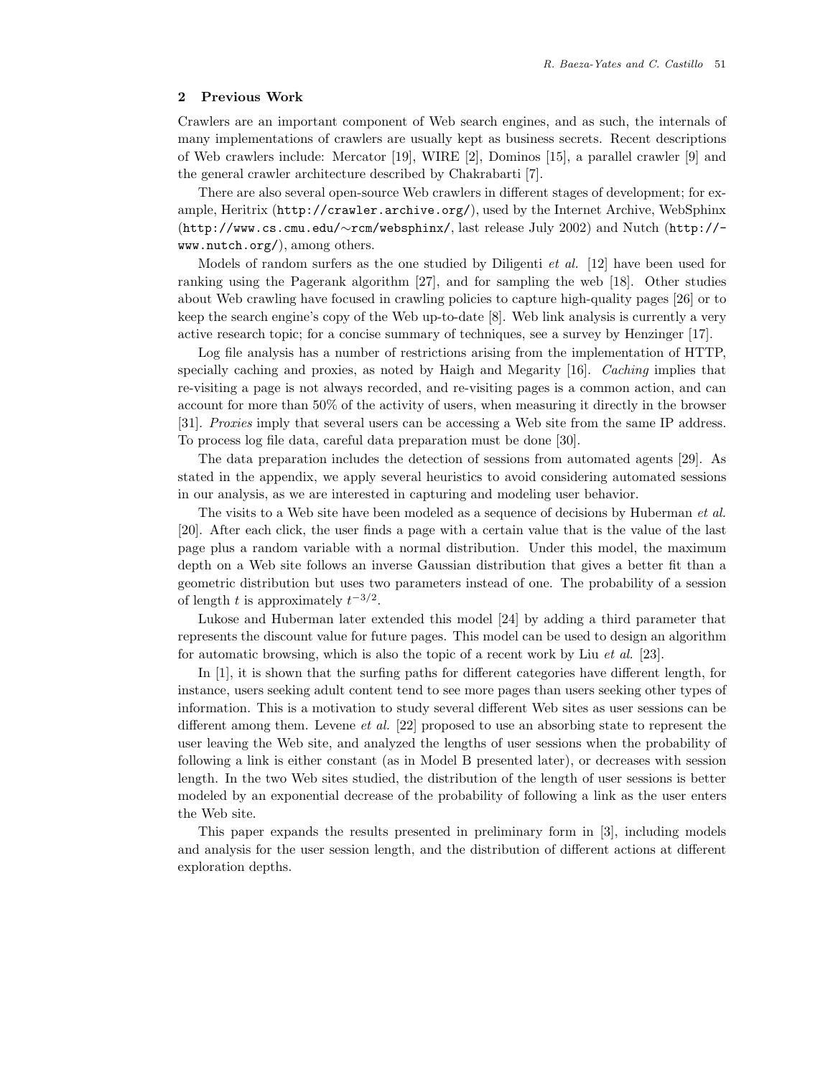# **2 Previous Work**

Crawlers are an important component of Web search engines, and as such, the internals of many implementations of crawlers are usually kept as business secrets. Recent descriptions of Web crawlers include: Mercator [19], WIRE [2], Dominos [15], a parallel crawler [9] and the general crawler architecture described by Chakrabarti [7].

There are also several open-source Web crawlers in different stages of development; for example, Heritrix (http://crawler.archive.org/), used by the Internet Archive, WebSphinx (http://www.cs.cmu.edu/∼rcm/websphinx/, last release July 2002) and Nutch (http:// www.nutch.org/), among others.

Models of random surfers as the one studied by Diligenti *et al.* [12] have been used for ranking using the Pagerank algorithm [27], and for sampling the web [18]. Other studies about Web crawling have focused in crawling policies to capture high-quality pages [26] or to keep the search engine's copy of the Web up-to-date [8]. Web link analysis is currently a very active research topic; for a concise summary of techniques, see a survey by Henzinger [17].

Log file analysis has a number of restrictions arising from the implementation of HTTP, specially caching and proxies, as noted by Haigh and Megarity [16]. *Caching* implies that re-visiting a page is not always recorded, and re-visiting pages is a common action, and can account for more than 50% of the activity of users, when measuring it directly in the browser [31]. *Proxies* imply that several users can be accessing a Web site from the same IP address. To process log file data, careful data preparation must be done [30].

The data preparation includes the detection of sessions from automated agents [29]. As stated in the appendix, we apply several heuristics to avoid considering automated sessions in our analysis, as we are interested in capturing and modeling user behavior.

The visits to a Web site have been modeled as a sequence of decisions by Huberman *et al.* [20]. After each click, the user finds a page with a certain value that is the value of the last page plus a random variable with a normal distribution. Under this model, the maximum depth on a Web site follows an inverse Gaussian distribution that gives a better fit than a geometric distribution but uses two parameters instead of one. The probability of a session of length t is approximately  $t^{-3/2}$ .

Lukose and Huberman later extended this model [24] by adding a third parameter that represents the discount value for future pages. This model can be used to design an algorithm for automatic browsing, which is also the topic of a recent work by Liu *et al.* [23].

In [1], it is shown that the surfing paths for different categories have different length, for instance, users seeking adult content tend to see more pages than users seeking other types of information. This is a motivation to study several different Web sites as user sessions can be different among them. Levene *et al.* [22] proposed to use an absorbing state to represent the user leaving the Web site, and analyzed the lengths of user sessions when the probability of following a link is either constant (as in Model B presented later), or decreases with session length. In the two Web sites studied, the distribution of the length of user sessions is better modeled by an exponential decrease of the probability of following a link as the user enters the Web site.

This paper expands the results presented in preliminary form in [3], including models and analysis for the user session length, and the distribution of different actions at different exploration depths.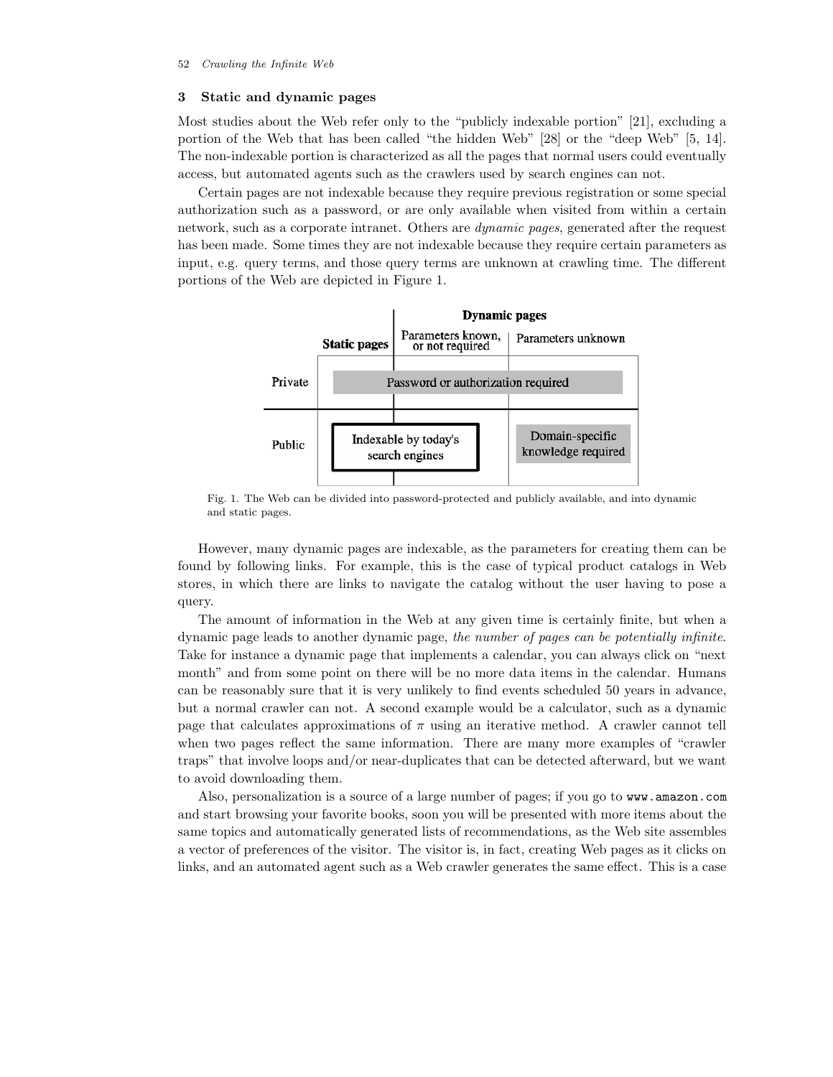# **3 Static and dynamic pages**

Most studies about the Web refer only to the "publicly indexable portion" [21], excluding a portion of the Web that has been called "the hidden Web" [28] or the "deep Web" [5, 14]. The non-indexable portion is characterized as all the pages that normal users could eventually access, but automated agents such as the crawlers used by search engines can not.

Certain pages are not indexable because they require previous registration or some special authorization such as a password, or are only available when visited from within a certain network, such as a corporate intranet. Others are *dynamic pages*, generated after the request has been made. Some times they are not indexable because they require certain parameters as input, e.g. query terms, and those query terms are unknown at crawling time. The different portions of the Web are depicted in Figure 1.



Fig. 1. The Web can be divided into password-protected and publicly available, and into dynamic and static pages.

However, many dynamic pages are indexable, as the parameters for creating them can be found by following links. For example, this is the case of typical product catalogs in Web stores, in which there are links to navigate the catalog without the user having to pose a query.

The amount of information in the Web at any given time is certainly finite, but when a dynamic page leads to another dynamic page, *the number of pages can be potentially infinite*. Take for instance a dynamic page that implements a calendar, you can always click on "next month" and from some point on there will be no more data items in the calendar. Humans can be reasonably sure that it is very unlikely to find events scheduled 50 years in advance, but a normal crawler can not. A second example would be a calculator, such as a dynamic page that calculates approximations of  $\pi$  using an iterative method. A crawler cannot tell when two pages reflect the same information. There are many more examples of "crawler traps" that involve loops and/or near-duplicates that can be detected afterward, but we want to avoid downloading them.

Also, personalization is a source of a large number of pages; if you go to www.amazon.com and start browsing your favorite books, soon you will be presented with more items about the same topics and automatically generated lists of recommendations, as the Web site assembles a vector of preferences of the visitor. The visitor is, in fact, creating Web pages as it clicks on links, and an automated agent such as a Web crawler generates the same effect. This is a case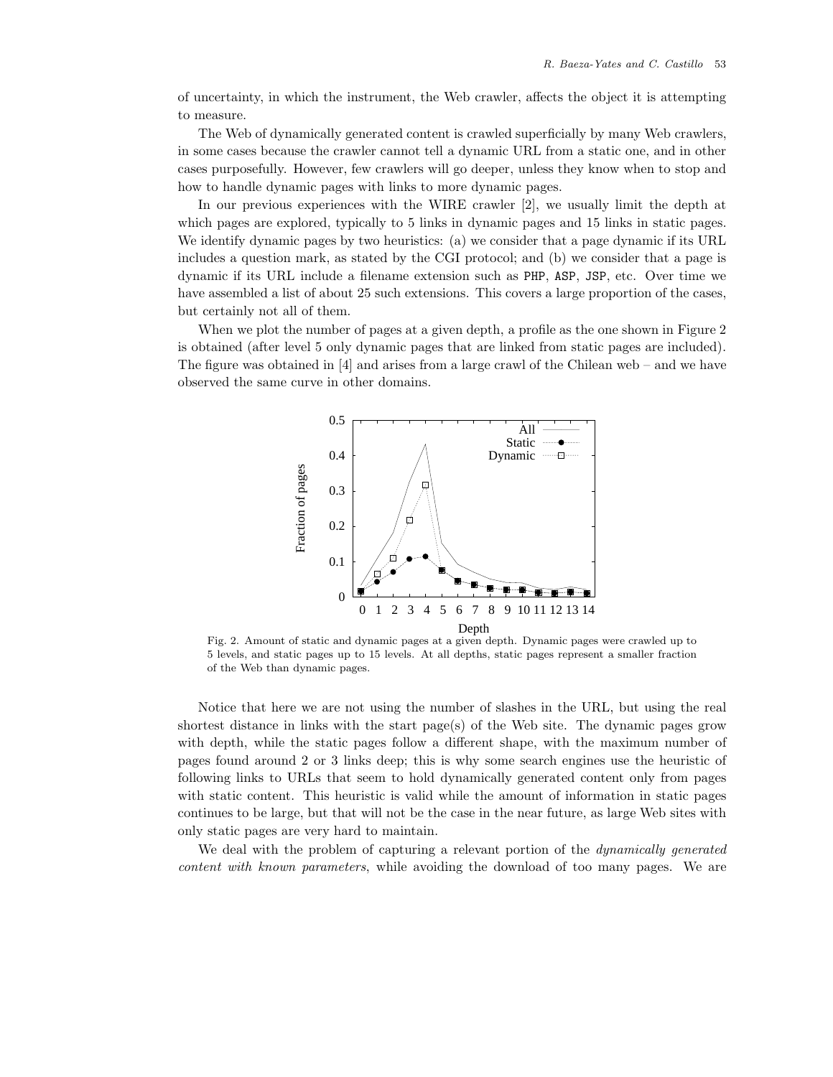of uncertainty, in which the instrument, the Web crawler, affects the object it is attempting to measure.

The Web of dynamically generated content is crawled superficially by many Web crawlers, in some cases because the crawler cannot tell a dynamic URL from a static one, and in other cases purposefully. However, few crawlers will go deeper, unless they know when to stop and how to handle dynamic pages with links to more dynamic pages.

In our previous experiences with the WIRE crawler [2], we usually limit the depth at which pages are explored, typically to 5 links in dynamic pages and 15 links in static pages. We identify dynamic pages by two heuristics: (a) we consider that a page dynamic if its URL includes a question mark, as stated by the CGI protocol; and (b) we consider that a page is dynamic if its URL include a filename extension such as PHP, ASP, JSP, etc. Over time we have assembled a list of about 25 such extensions. This covers a large proportion of the cases, but certainly not all of them.

When we plot the number of pages at a given depth, a profile as the one shown in Figure 2 is obtained (after level 5 only dynamic pages that are linked from static pages are included). The figure was obtained in [4] and arises from a large crawl of the Chilean web – and we have observed the same curve in other domains.



Fig. 2. Amount of static and dynamic pages at a given depth. Dynamic pages were crawled up to 5 levels, and static pages up to 15 levels. At all depths, static pages represent a smaller fraction of the Web than dynamic pages.

Notice that here we are not using the number of slashes in the URL, but using the real shortest distance in links with the start page(s) of the Web site. The dynamic pages grow with depth, while the static pages follow a different shape, with the maximum number of pages found around 2 or 3 links deep; this is why some search engines use the heuristic of following links to URLs that seem to hold dynamically generated content only from pages with static content. This heuristic is valid while the amount of information in static pages continues to be large, but that will not be the case in the near future, as large Web sites with only static pages are very hard to maintain.

We deal with the problem of capturing a relevant portion of the *dynamically generated content with known parameters*, while avoiding the download of too many pages. We are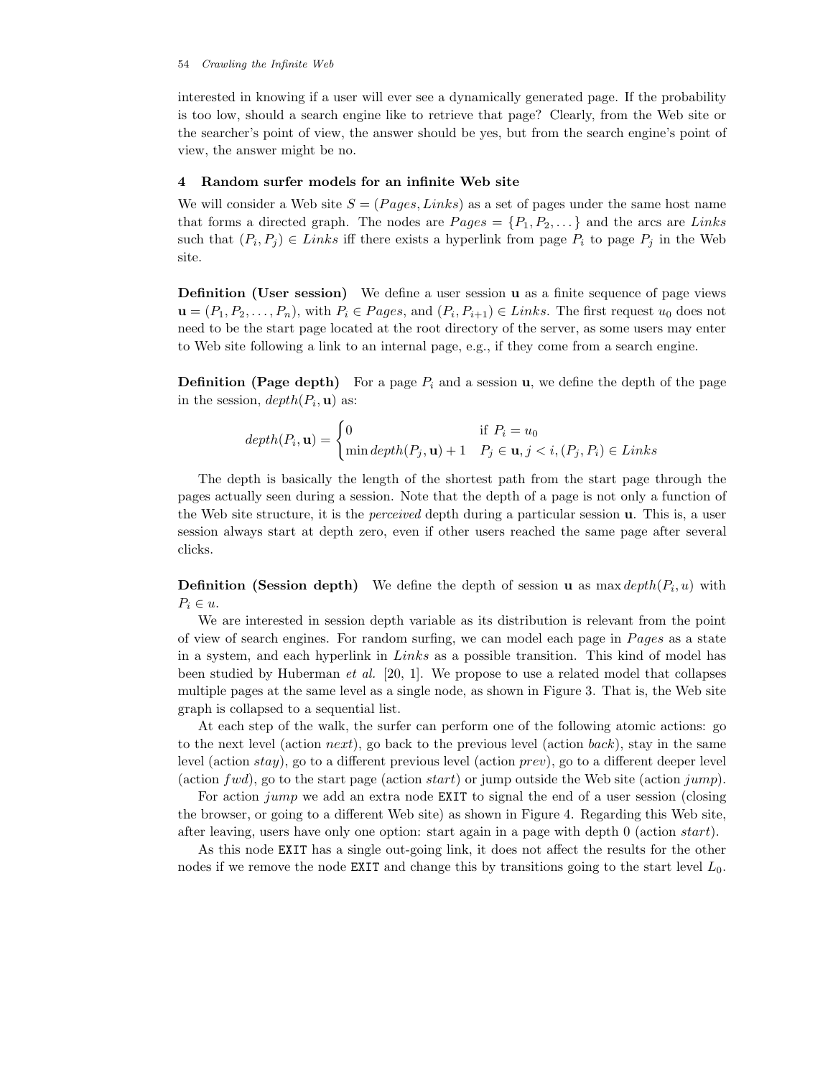interested in knowing if a user will ever see a dynamically generated page. If the probability is too low, should a search engine like to retrieve that page? Clearly, from the Web site or the searcher's point of view, the answer should be yes, but from the search engine's point of view, the answer might be no.

## **4 Random surfer models for an infinite Web site**

We will consider a Web site  $S = (Pages, Links)$  as a set of pages under the same host name that forms a directed graph. The nodes are  $Page = \{P_1, P_2, \dots\}$  and the arcs are Links such that  $(P_i, P_j) \in Links$  iff there exists a hyperlink from page  $P_i$  to page  $P_j$  in the Web site.

**Definition (User session)** We define a user session **u** as a finite sequence of page views  $\mathbf{u} = (P_1, P_2, \dots, P_n)$ , with  $P_i \in Pages$ , and  $(P_i, P_{i+1}) \in Links$ . The first request  $u_0$  does not need to be the start page located at the root directory of the server, as some users may enter to Web site following a link to an internal page, e.g., if they come from a search engine.

**Definition (Page depth)** For a page  $P_i$  and a session **u**, we define the depth of the page in the session,  $depth(P_i, \mathbf{u})$  as:

$$
depth(P_i, \mathbf{u}) = \begin{cases} 0 & \text{if } P_i = u_0 \\ \min depth(P_j, \mathbf{u}) + 1 & P_j \in \mathbf{u}, j < i, (P_j, P_i) \in Links \end{cases}
$$

The depth is basically the length of the shortest path from the start page through the pages actually seen during a session. Note that the depth of a page is not only a function of the Web site structure, it is the *perceived* depth during a particular session **u**. This is, a user session always start at depth zero, even if other users reached the same page after several clicks.

**Definition (Session depth)** We define the depth of session **u** as max depth $(P_i, u)$  with  $P_i \in u$ .

We are interested in session depth variable as its distribution is relevant from the point of view of search engines. For random surfing, we can model each page in  $Pages$  as a state in a system, and each hyperlink in Links as a possible transition. This kind of model has been studied by Huberman *et al.* [20, 1]. We propose to use a related model that collapses multiple pages at the same level as a single node, as shown in Figure 3. That is, the Web site graph is collapsed to a sequential list.

At each step of the walk, the surfer can perform one of the following atomic actions: go to the next level (action  $next$ ), go back to the previous level (action  $back$ ), stay in the same level (action stay), go to a different previous level (action prev), go to a different deeper level (action  $fwd$ ), go to the start page (action start) or jump outside the Web site (action jump).

For action *jump* we add an extra node **EXIT** to signal the end of a user session (closing the browser, or going to a different Web site) as shown in Figure 4. Regarding this Web site, after leaving, users have only one option: start again in a page with depth 0 (action start).

As this node EXIT has a single out-going link, it does not affect the results for the other nodes if we remove the node EXIT and change this by transitions going to the start level  $L_0$ .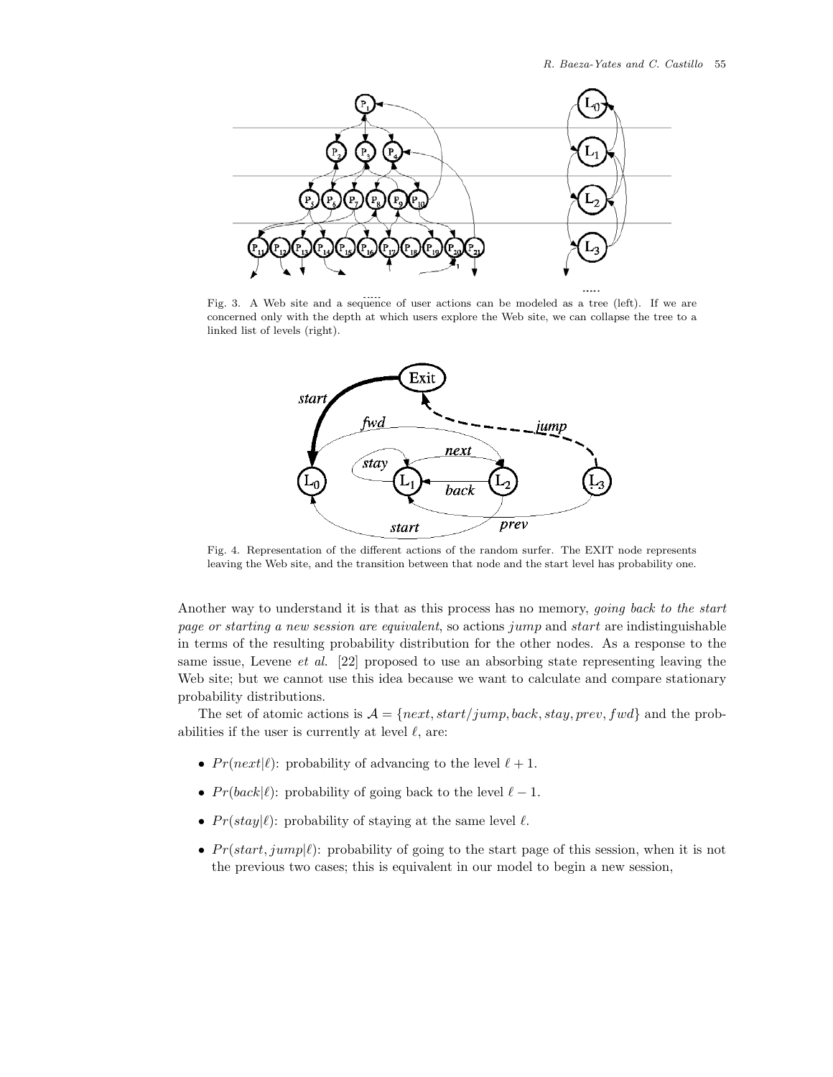

Fig. 3. A Web site and a sequence of user actions can be modeled as a tree (left). If we are concerned only with the depth at which users explore the Web site, we can collapse the tree to a linked list of levels (right).



Fig. 4. Representation of the different actions of the random surfer. The EXIT node represents leaving the Web site, and the transition between that node and the start level has probability one.

Another way to understand it is that as this process has no memory, *going back to the start page or starting a new session are equivalent*, so actions jump and start are indistinguishable in terms of the resulting probability distribution for the other nodes. As a response to the same issue, Levene *et al.* [22] proposed to use an absorbing state representing leaving the Web site; but we cannot use this idea because we want to calculate and compare stationary probability distributions.

The set of atomic actions is  $\mathcal{A} = \{next, start/jump, back, stay, prev, fwd\}$  and the probabilities if the user is currently at level  $\ell$ , are:

- $Pr(next|\ell)$ : probability of advancing to the level  $\ell + 1$ .
- $Pr(back|\ell)$ : probability of going back to the level  $\ell 1$ .
- $Pr(staty|\ell)$ : probability of staying at the same level  $\ell$ .
- $Pr(start, jump|\ell)$ : probability of going to the start page of this session, when it is not the previous two cases; this is equivalent in our model to begin a new session,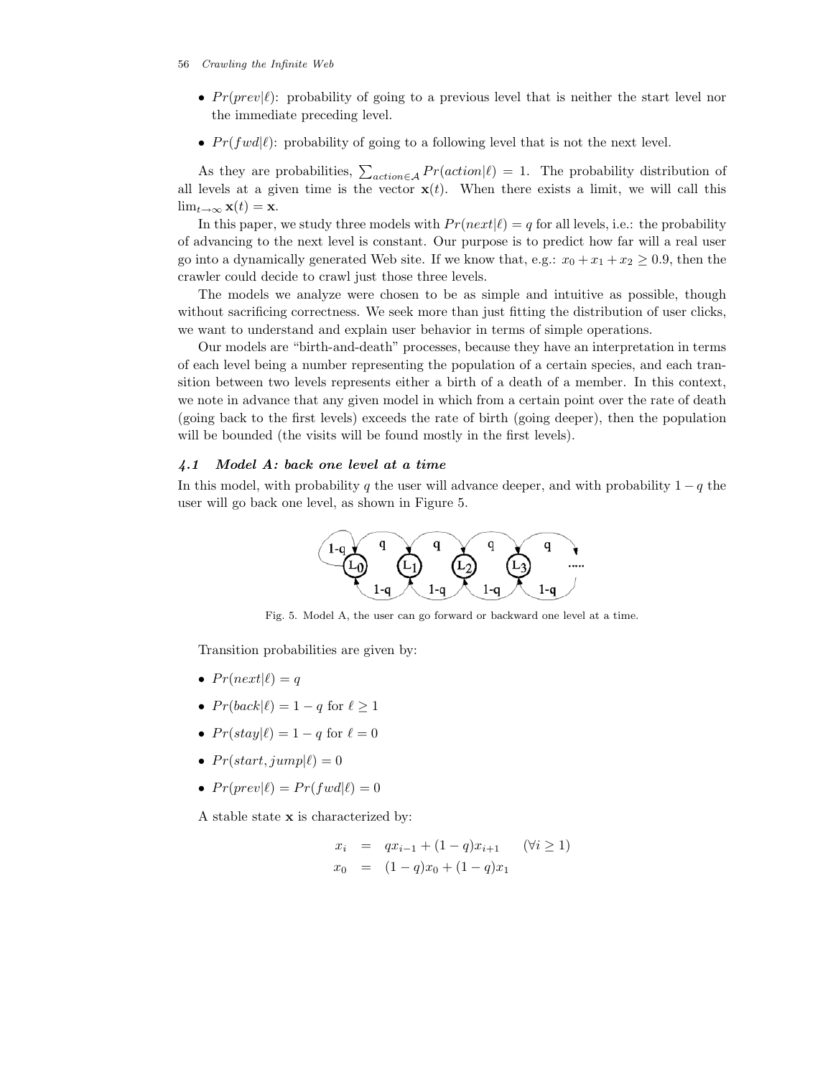- $Pr(prev|\ell)$ : probability of going to a previous level that is neither the start level nor the immediate preceding level.
- $Pr(fwd|\ell)$ : probability of going to a following level that is not the next level.

As they are probabilities,  $\sum_{action \in \mathcal{A}} Pr(action | \ell) = 1$ . The probability distribution of all levels at a given time is the vector  $\mathbf{x}(t)$ . When there exists a limit, we will call this  $\lim_{t\to\infty}$ **x**(t) = **x**.

In this paper, we study three models with  $Pr(next|\ell) = q$  for all levels, i.e.: the probability of advancing to the next level is constant. Our purpose is to predict how far will a real user go into a dynamically generated Web site. If we know that, e.g.:  $x_0 + x_1 + x_2 \ge 0.9$ , then the crawler could decide to crawl just those three levels.

The models we analyze were chosen to be as simple and intuitive as possible, though without sacrificing correctness. We seek more than just fitting the distribution of user clicks, we want to understand and explain user behavior in terms of simple operations.

Our models are "birth-and-death" processes, because they have an interpretation in terms of each level being a number representing the population of a certain species, and each transition between two levels represents either a birth of a death of a member. In this context, we note in advance that any given model in which from a certain point over the rate of death (going back to the first levels) exceeds the rate of birth (going deeper), then the population will be bounded (the visits will be found mostly in the first levels).

## *4.1 Model A: back one level at a time*

In this model, with probability q the user will advance deeper, and with probability  $1 - q$  the user will go back one level, as shown in Figure 5.



Fig. 5. Model A, the user can go forward or backward one level at a time.

Transition probabilities are given by:

- $Pr(next|\ell) = q$
- $Pr(back|\ell) = 1 q$  for  $\ell > 1$
- $Pr(stat|\ell) = 1 q$  for  $\ell = 0$
- $Pr(start, jump|\ell)=0$
- $Pr(prev|\ell) = Pr(fwd|\ell) = 0$

A stable state **x** is characterized by:

$$
x_i = qx_{i-1} + (1-q)x_{i+1} \quad (\forall i \ge 1)
$$
  

$$
x_0 = (1-q)x_0 + (1-q)x_1
$$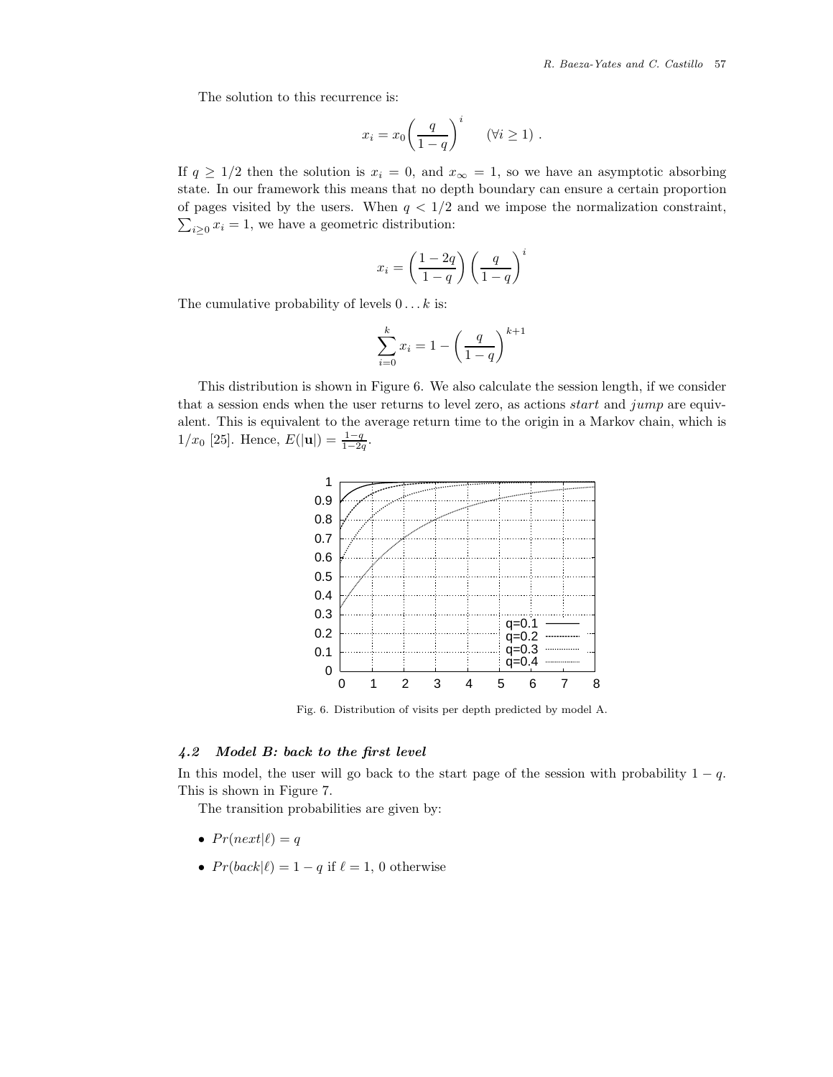The solution to this recurrence is:

$$
x_i = x_0 \left(\frac{q}{1-q}\right)^i \quad (\forall i \ge 1) .
$$

If  $q \geq 1/2$  then the solution is  $x_i = 0$ , and  $x_{\infty} = 1$ , so we have an asymptotic absorbing state. In our framework this means that no depth boundary can ensure a certain proportion of pages visited by the users. When  $q < 1/2$  and we impose the normalization constraint,  $\sum_{i\geq 0} x_i = 1$ , we have a geometric distribution:

$$
x_i = \left(\frac{1-2q}{1-q}\right) \left(\frac{q}{1-q}\right)^i
$$

The cumulative probability of levels  $0 \dots k$  is:

$$
\sum_{i=0}^{k} x_i = 1 - \left(\frac{q}{1-q}\right)^{k+1}
$$

This distribution is shown in Figure 6. We also calculate the session length, if we consider that a session ends when the user returns to level zero, as actions *start* and *jump* are equivalent. This is equivalent to the average return time to the origin in a Markov chain, which is  $1/x_0$  [25]. Hence,  $E(|\mathbf{u}|) = \frac{1-q}{1-2q}$ .



Fig. 6. Distribution of visits per depth predicted by model A.

## *4.2 Model B: back to the first level*

In this model, the user will go back to the start page of the session with probability  $1 - q$ . This is shown in Figure 7.

The transition probabilities are given by:

- $Pr(next|\ell) = q$
- $Pr(back | \ell) = 1 q$  if  $\ell = 1, 0$  otherwise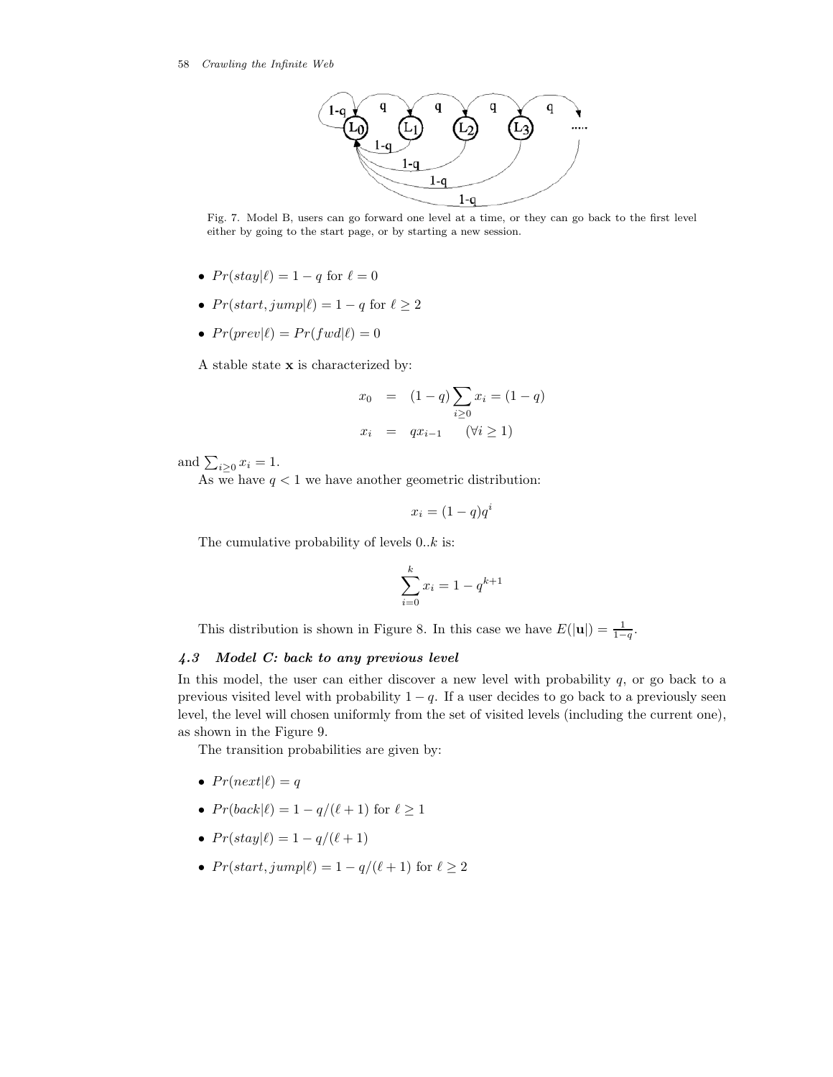

Fig. 7. Model B, users can go forward one level at a time, or they can go back to the first level either by going to the start page, or by starting a new session.

- $Pr(stat|l) = 1 q$  for  $l = 0$
- $Pr(start, jump|\ell) = 1 q$  for  $\ell \geq 2$
- $Pr(prev|\ell) = Pr(fwd|\ell) = 0$

A stable state **x** is characterized by:

$$
x_0 = (1-q) \sum_{i\geq 0} x_i = (1-q)
$$
  

$$
x_i = qx_{i-1} \quad (\forall i \geq 1)
$$

and  $\sum_{i\geq 0} x_i = 1$ .

As we have  $q < 1$  we have another geometric distribution:

$$
x_i = (1 - q)q^i
$$

The cumulative probability of levels  $0..k$  is:

$$
\sum_{i=0}^{k} x_i = 1 - q^{k+1}
$$

This distribution is shown in Figure 8. In this case we have  $E(|\mathbf{u}|) = \frac{1}{1-q}$ .

# *4.3 Model C: back to any previous level*

In this model, the user can either discover a new level with probability  $q$ , or go back to a previous visited level with probability  $1 - q$ . If a user decides to go back to a previously seen level, the level will chosen uniformly from the set of visited levels (including the current one), as shown in the Figure 9.

The transition probabilities are given by:

- $Pr(next|\ell) = q$
- $Pr(back|\ell) = 1 q/(\ell + 1)$  for  $\ell \ge 1$
- $Pr(stat|l) = 1 q/(l + 1)$
- $Pr(start, jump|\ell) = 1 q/(\ell + 1)$  for  $\ell \geq 2$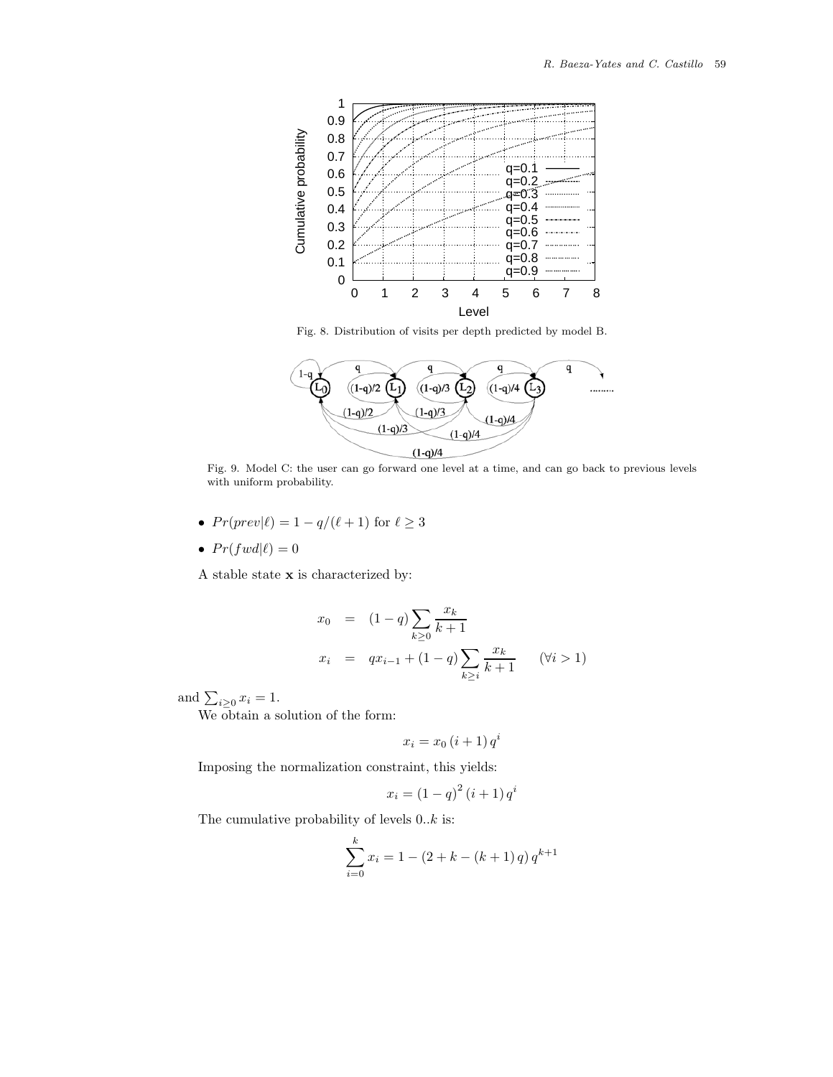

Fig. 8. Distribution of visits per depth predicted by model B.



Fig. 9. Model C: the user can go forward one level at a time, and can go back to previous levels with uniform probability.

- $Pr(prev|\ell) = 1 q/(\ell + 1)$  for  $\ell \geq 3$
- $Pr(fwd|\ell)=0$

A stable state **x** is characterized by:

$$
x_0 = (1-q) \sum_{k\geq 0} \frac{x_k}{k+1}
$$
  

$$
x_i = qx_{i-1} + (1-q) \sum_{k\geq i} \frac{x_k}{k+1} \quad (\forall i > 1)
$$

and  $\sum_{i\geq 0} x_i = 1$ .

We obtain a solution of the form:

$$
x_i = x_0 \left(i + 1\right) q^i
$$

Imposing the normalization constraint, this yields:

$$
x_i = (1 - q)^2 (i + 1) q^i
$$

The cumulative probability of levels  $0..k$  is:

$$
\sum_{i=0}^{k} x_i = 1 - (2 + k - (k+1)q) q^{k+1}
$$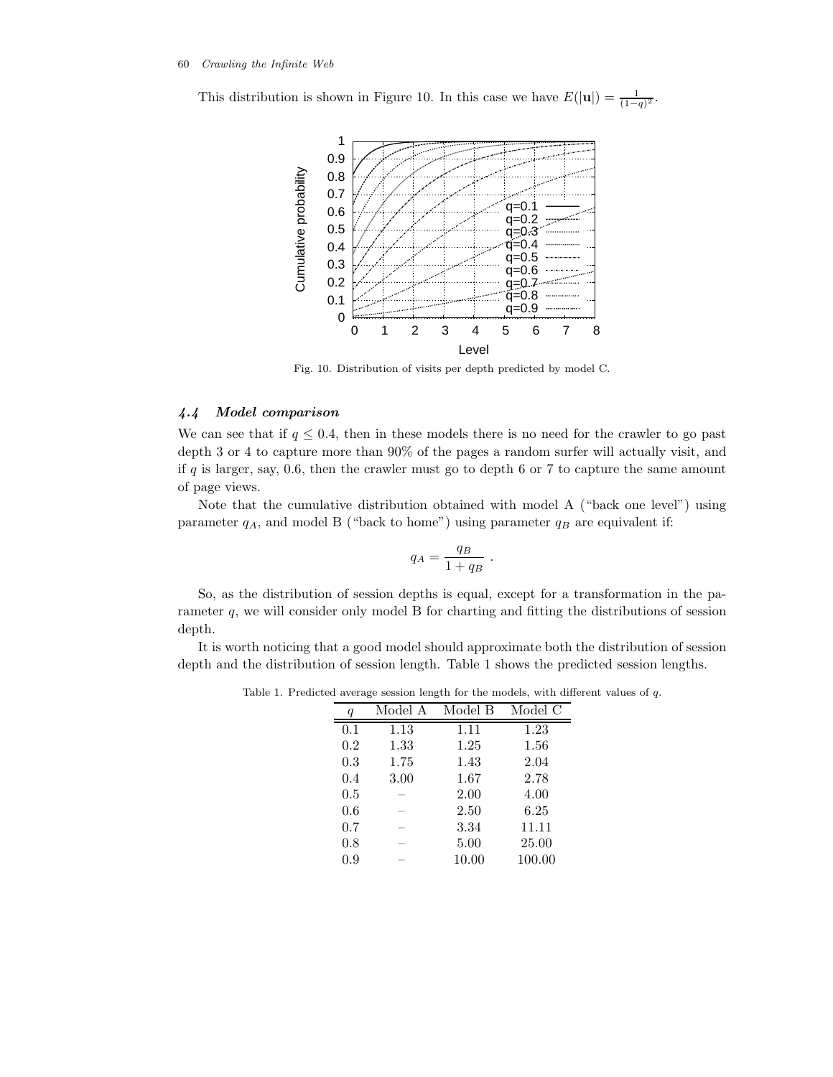This distribution is shown in Figure 10. In this case we have  $E(|\mathbf{u}|) = \frac{1}{(1-q)^2}$ .



Fig. 10. Distribution of visits per depth predicted by model C.

# *4.4 Model comparison*

We can see that if  $q \leq 0.4$ , then in these models there is no need for the crawler to go past depth 3 or 4 to capture more than 90% of the pages a random surfer will actually visit, and if q is larger, say, 0.6, then the crawler must go to depth 6 or 7 to capture the same amount of page views.

Note that the cumulative distribution obtained with model A ("back one level") using parameter  $q_A$ , and model B ("back to home") using parameter  $q_B$  are equivalent if:

$$
q_A = \frac{q_B}{1 + q_B}
$$

.

So, as the distribution of session depths is equal, except for a transformation in the parameter  $q$ , we will consider only model B for charting and fitting the distributions of session depth.

It is worth noticing that a good model should approximate both the distribution of session depth and the distribution of session length. Table 1 shows the predicted session lengths.

Table 1. Predicted average session length for the models, with different values of *q*.

|     | Model A | Model B | Model C |
|-----|---------|---------|---------|
| 0.1 | 1.13    | 1.11    | 1.23    |
| 0.2 | 1.33    | 1.25    | 1.56    |
| 0.3 | 1.75    | 1.43    | 2.04    |
| 0.4 | 3.00    | 1.67    | 2.78    |
| 0.5 |         | 2.00    | 4.00    |
| 0.6 |         | 2.50    | 6.25    |
| 0.7 |         | 3.34    | 11.11   |
| 0.8 |         | 5.00    | 25.00   |
| 0.9 |         | 10.00   | 100.00  |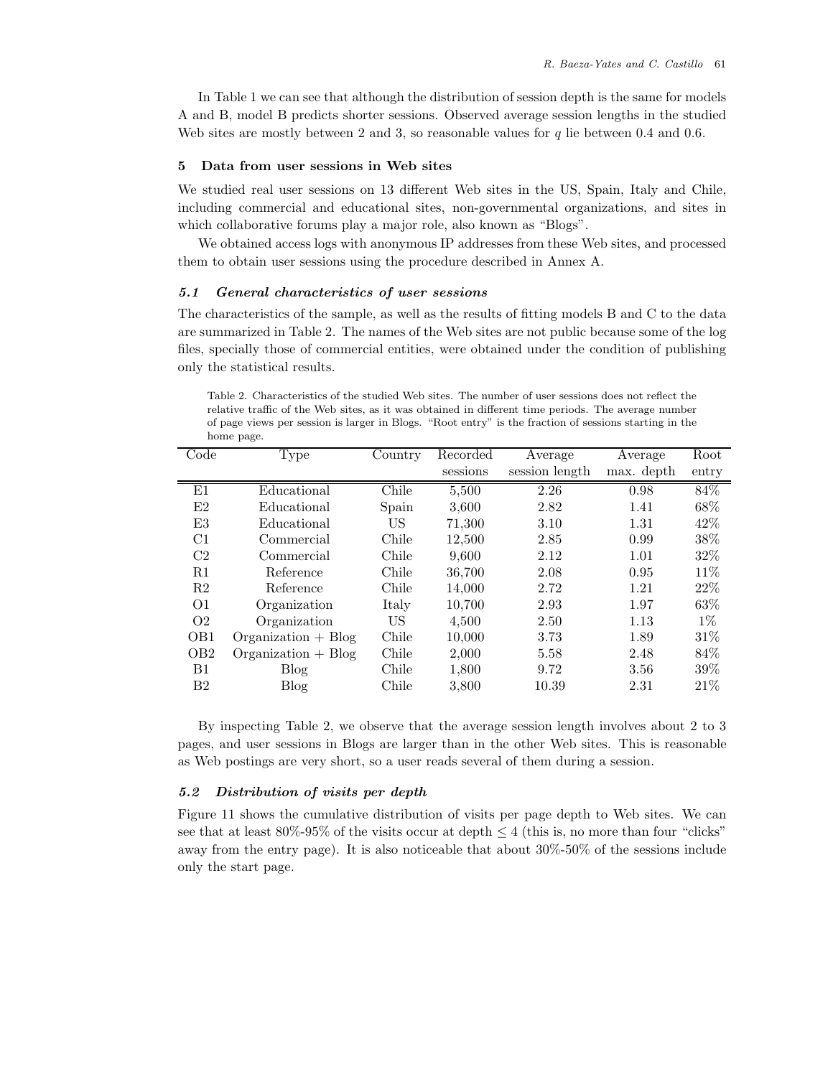In Table 1 we can see that although the distribution of session depth is the same for models A and B, model B predicts shorter sessions. Observed average session lengths in the studied Web sites are mostly between 2 and 3, so reasonable values for  $q$  lie between 0.4 and 0.6.

# **5 Data from user sessions in Web sites**

We studied real user sessions on 13 different Web sites in the US, Spain, Italy and Chile, including commercial and educational sites, non-governmental organizations, and sites in which collaborative forums play a major role, also known as "Blogs".

We obtained access logs with anonymous IP addresses from these Web sites, and processed them to obtain user sessions using the procedure described in Annex A.

## *5.1 General characteristics of user sessions*

The characteristics of the sample, as well as the results of fitting models B and C to the data are summarized in Table 2. The names of the Web sites are not public because some of the log files, specially those of commercial entities, were obtained under the condition of publishing only the statistical results.

Table 2. Characteristics of the studied Web sites. The number of user sessions does not reflect the relative traffic of the Web sites, as it was obtained in different time periods. The average number of page views per session is larger in Blogs. "Root entry" is the fraction of sessions starting in the home page.

| Code            | Type                  | Country | Recorded | Average        | Average    | Root   |
|-----------------|-----------------------|---------|----------|----------------|------------|--------|
|                 |                       |         | sessions | session length | max. depth | entry  |
| E1              | Educational           | Chile   | 5,500    | 2.26           | 0.98       | 84%    |
| E2              | Educational           | Spain   | 3,600    | 2.82           | 1.41       | 68%    |
| E3              | Educational           | US      | 71,300   | 3.10           | 1.31       | 42\%   |
| C1              | Commercial            | Chile   | 12,500   | 2.85           | 0.99       | 38%    |
| C <sub>2</sub>  | Commercial            | Chile   | 9,600    | 2.12           | 1.01       | 32%    |
| R1              | Reference             | Chile   | 36,700   | 2.08           | 0.95       | 11%    |
| R <sub>2</sub>  | Reference             | Chile   | 14,000   | 2.72           | 1.21       | 22%    |
| O <sub>1</sub>  | Organization          | Italy   | 10,700   | 2.93           | 1.97       | 63%    |
| O <sub>2</sub>  | Organization          | US      | 4,500    | 2.50           | 1.13       | $1\%$  |
| OB <sub>1</sub> | $Organization + Blog$ | Chile   | 10,000   | 3.73           | 1.89       | $31\%$ |
| OB <sub>2</sub> | $Organization + Blog$ | Chile   | 2,000    | 5.58           | 2.48       | 84%    |
| B1              | <b>Blog</b>           | Chile   | 1,800    | 9.72           | 3.56       | 39%    |
| B <sub>2</sub>  | <b>Blog</b>           | Chile   | 3,800    | 10.39          | 2.31       | 21%    |

By inspecting Table 2, we observe that the average session length involves about 2 to 3 pages, and user sessions in Blogs are larger than in the other Web sites. This is reasonable as Web postings are very short, so a user reads several of them during a session.

## *5.2 Distribution of visits per depth*

Figure 11 shows the cumulative distribution of visits per page depth to Web sites. We can see that at least  $80\%$ -95% of the visits occur at depth  $\leq 4$  (this is, no more than four "clicks" away from the entry page). It is also noticeable that about 30%-50% of the sessions include only the start page.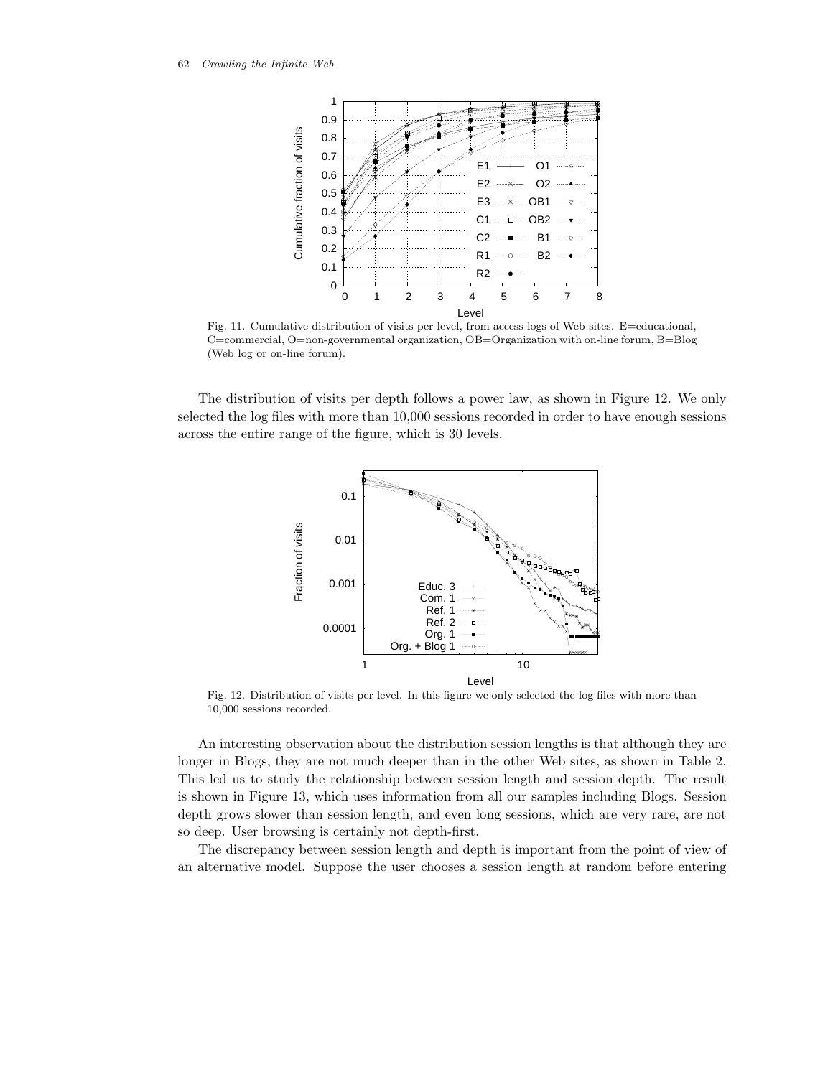62 *Crawling the Infinite Web*



Fig. 11. Cumulative distribution of visits per level, from access logs of Web sites. E=educational, C=commercial, O=non-governmental organization, OB=Organization with on-line forum, B=Blog (Web log or on-line forum).

The distribution of visits per depth follows a power law, as shown in Figure 12. We only selected the log files with more than 10,000 sessions recorded in order to have enough sessions across the entire range of the figure, which is 30 levels.



Fig. 12. Distribution of visits per level. In this figure we only selected the log files with more than 10,000 sessions recorded.

An interesting observation about the distribution session lengths is that although they are longer in Blogs, they are not much deeper than in the other Web sites, as shown in Table 2. This led us to study the relationship between session length and session depth. The result is shown in Figure 13, which uses information from all our samples including Blogs. Session depth grows slower than session length, and even long sessions, which are very rare, are not so deep. User browsing is certainly not depth-first.

The discrepancy between session length and depth is important from the point of view of an alternative model. Suppose the user chooses a session length at random before entering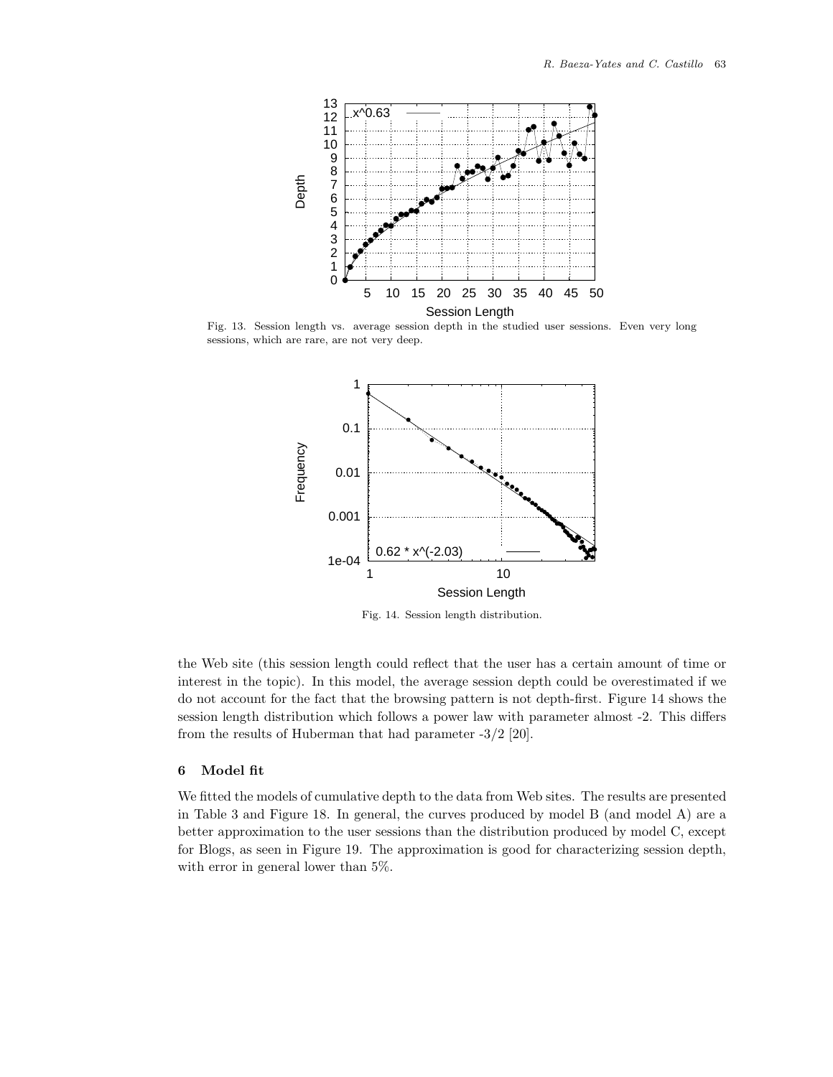

Fig. 13. Session length vs. average session depth in the studied user sessions. Even very long sessions, which are rare, are not very deep.



Fig. 14. Session length distribution.

the Web site (this session length could reflect that the user has a certain amount of time or interest in the topic). In this model, the average session depth could be overestimated if we do not account for the fact that the browsing pattern is not depth-first. Figure 14 shows the session length distribution which follows a power law with parameter almost -2. This differs from the results of Huberman that had parameter -3/2 [20].

# **6 Model fit**

We fitted the models of cumulative depth to the data from Web sites. The results are presented in Table 3 and Figure 18. In general, the curves produced by model B (and model A) are a better approximation to the user sessions than the distribution produced by model C, except for Blogs, as seen in Figure 19. The approximation is good for characterizing session depth, with error in general lower than 5%.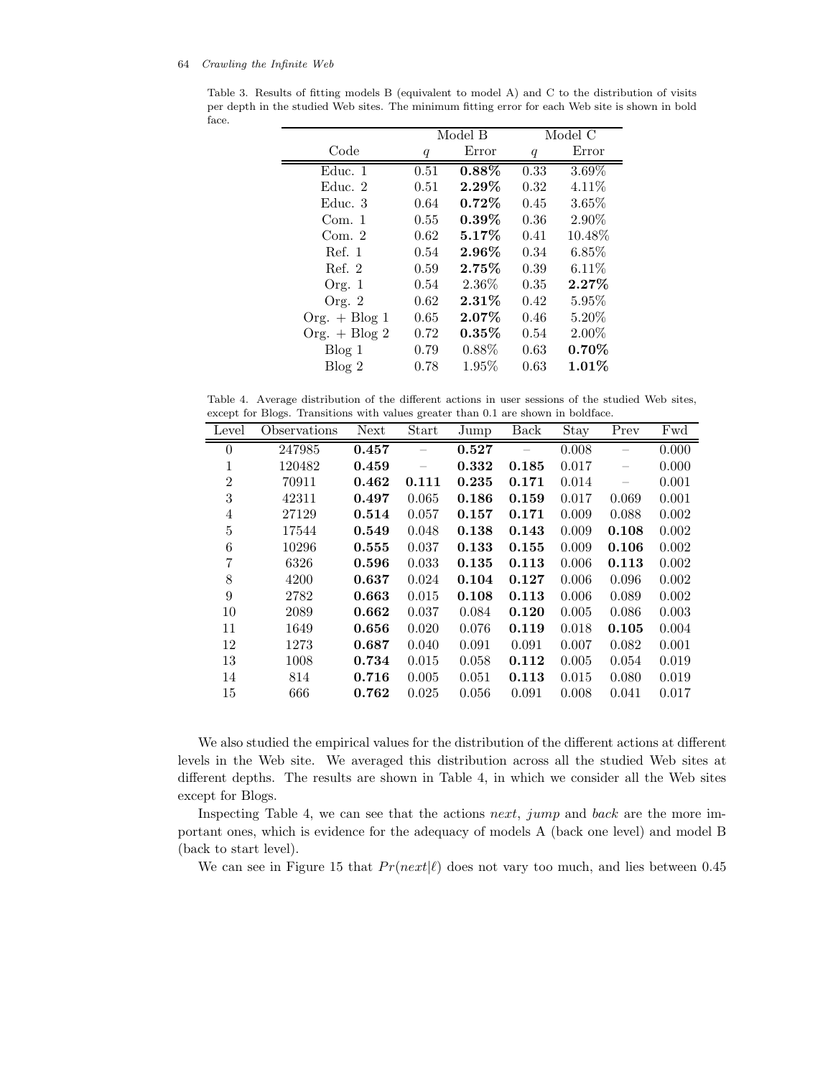Table 3. Results of fitting models B (equivalent to model A) and C to the distribution of visits per depth in the studied Web sites. The minimum fitting error for each Web site is shown in bold face.

|                 | Model B          |          |      | Model C  |
|-----------------|------------------|----------|------|----------|
| Code            | $\boldsymbol{q}$ | Error    | q    | Error    |
| Educ. 1         | 0.51             | $0.88\%$ | 0.33 | $3.69\%$ |
| Educ. 2         | 0.51             | $2.29\%$ | 0.32 | $4.11\%$ |
| Educ. 3         | 0.64             | $0.72\%$ | 0.45 | $3.65\%$ |
| Com. 1          | 0.55             | $0.39\%$ | 0.36 | 2.90%    |
| Com. $2$        | 0.62             | 5.17%    | 0.41 | 10.48%   |
| Ref. 1          | 0.54             | $2.96\%$ | 0.34 | 6.85%    |
| Ref. 2          | 0.59             | 2.75%    | 0.39 | 6.11%    |
| Org. 1          | 0.54             | 2.36\%   | 0.35 | $2.27\%$ |
| Org. $2$        | 0.62             | $2.31\%$ | 0.42 | $5.95\%$ |
| $Org. + Blog 1$ | 0.65             | $2.07\%$ | 0.46 | $5.20\%$ |
| Org. $+$ Blog 2 | 0.72             | 0.35%    | 0.54 | 2.00%    |
| Blog 1          | 0.79             | 0.88%    | 0.63 | $0.70\%$ |
| Blog 2          | 0.78             | 1.95%    | 0.63 | $1.01\%$ |

Table 4. Average distribution of the different actions in user sessions of the studied Web sites, except for Blogs. Transitions with values greater than 0.1 are shown in boldface.

| Level          | Observations | Next  | Start | Jump  | Back  | Stay  | Prev  | Fwd   |
|----------------|--------------|-------|-------|-------|-------|-------|-------|-------|
| $\theta$       | 247985       | 0.457 |       | 0.527 |       | 0.008 |       | 0.000 |
| 1              | 120482       | 0.459 |       | 0.332 | 0.185 | 0.017 |       | 0.000 |
| $\overline{2}$ | 70911        | 0.462 | 0.111 | 0.235 | 0.171 | 0.014 |       | 0.001 |
| 3              | 42311        | 0.497 | 0.065 | 0.186 | 0.159 | 0.017 | 0.069 | 0.001 |
| $\overline{4}$ | 27129        | 0.514 | 0.057 | 0.157 | 0.171 | 0.009 | 0.088 | 0.002 |
| $\overline{5}$ | 17544        | 0.549 | 0.048 | 0.138 | 0.143 | 0.009 | 0.108 | 0.002 |
| 6              | 10296        | 0.555 | 0.037 | 0.133 | 0.155 | 0.009 | 0.106 | 0.002 |
| 7              | 6326         | 0.596 | 0.033 | 0.135 | 0.113 | 0.006 | 0.113 | 0.002 |
| 8              | 4200         | 0.637 | 0.024 | 0.104 | 0.127 | 0.006 | 0.096 | 0.002 |
| 9              | 2782         | 0.663 | 0.015 | 0.108 | 0.113 | 0.006 | 0.089 | 0.002 |
| 10             | 2089         | 0.662 | 0.037 | 0.084 | 0.120 | 0.005 | 0.086 | 0.003 |
| 11             | 1649         | 0.656 | 0.020 | 0.076 | 0.119 | 0.018 | 0.105 | 0.004 |
| 12             | 1273         | 0.687 | 0.040 | 0.091 | 0.091 | 0.007 | 0.082 | 0.001 |
| 13             | 1008         | 0.734 | 0.015 | 0.058 | 0.112 | 0.005 | 0.054 | 0.019 |
| 14             | 814          | 0.716 | 0.005 | 0.051 | 0.113 | 0.015 | 0.080 | 0.019 |
| 15             | 666          | 0.762 | 0.025 | 0.056 | 0.091 | 0.008 | 0.041 | 0.017 |

We also studied the empirical values for the distribution of the different actions at different levels in the Web site. We averaged this distribution across all the studied Web sites at different depths. The results are shown in Table 4, in which we consider all the Web sites except for Blogs.

Inspecting Table 4, we can see that the actions next, jump and back are the more important ones, which is evidence for the adequacy of models A (back one level) and model B (back to start level).

We can see in Figure 15 that  $Pr(next|\ell)$  does not vary too much, and lies between 0.45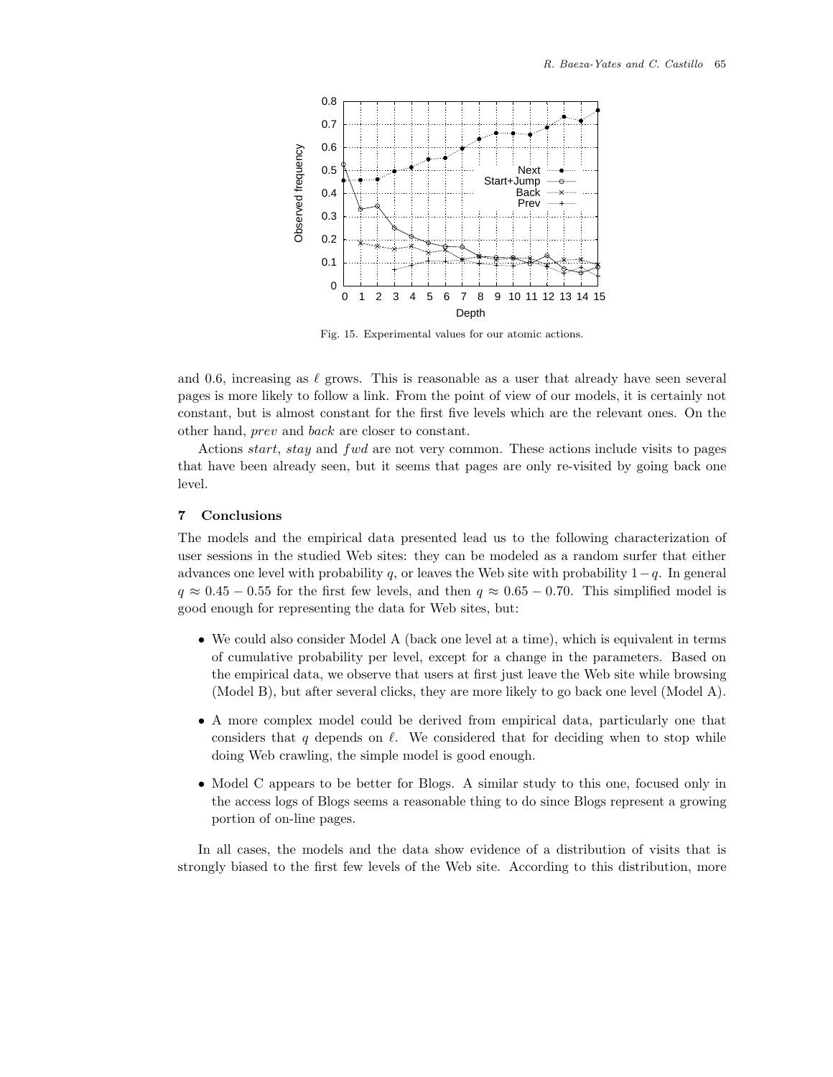

Fig. 15. Experimental values for our atomic actions.

and 0.6, increasing as  $\ell$  grows. This is reasonable as a user that already have seen several pages is more likely to follow a link. From the point of view of our models, it is certainly not constant, but is almost constant for the first five levels which are the relevant ones. On the other hand, prev and back are closer to constant.

Actions *start, stay* and fwd are not very common. These actions include visits to pages that have been already seen, but it seems that pages are only re-visited by going back one level.

# **7 Conclusions**

The models and the empirical data presented lead us to the following characterization of user sessions in the studied Web sites: they can be modeled as a random surfer that either advances one level with probability q, or leaves the Web site with probability  $1-q$ . In general  $q \approx 0.45 - 0.55$  for the first few levels, and then  $q \approx 0.65 - 0.70$ . This simplified model is good enough for representing the data for Web sites, but:

- We could also consider Model A (back one level at a time), which is equivalent in terms of cumulative probability per level, except for a change in the parameters. Based on the empirical data, we observe that users at first just leave the Web site while browsing (Model B), but after several clicks, they are more likely to go back one level (Model A).
- A more complex model could be derived from empirical data, particularly one that considers that q depends on  $\ell$ . We considered that for deciding when to stop while doing Web crawling, the simple model is good enough.
- Model C appears to be better for Blogs. A similar study to this one, focused only in the access logs of Blogs seems a reasonable thing to do since Blogs represent a growing portion of on-line pages.

In all cases, the models and the data show evidence of a distribution of visits that is strongly biased to the first few levels of the Web site. According to this distribution, more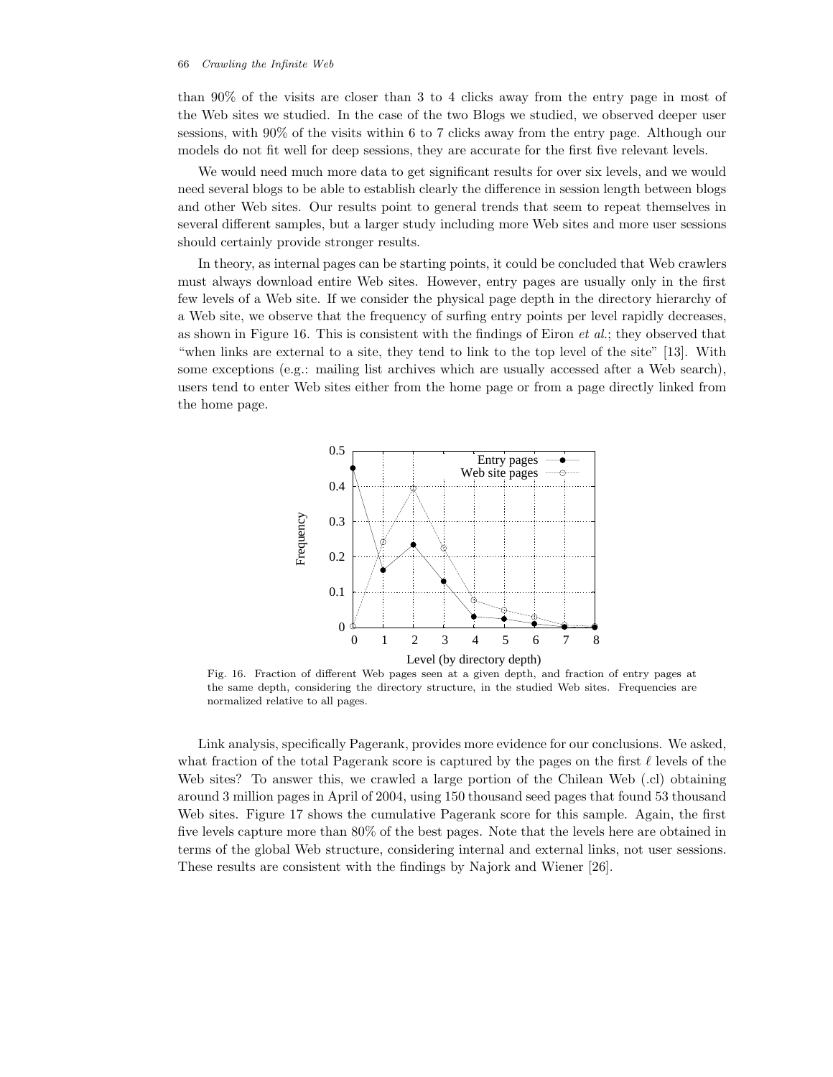than 90% of the visits are closer than 3 to 4 clicks away from the entry page in most of the Web sites we studied. In the case of the two Blogs we studied, we observed deeper user sessions, with 90% of the visits within 6 to 7 clicks away from the entry page. Although our models do not fit well for deep sessions, they are accurate for the first five relevant levels.

We would need much more data to get significant results for over six levels, and we would need several blogs to be able to establish clearly the difference in session length between blogs and other Web sites. Our results point to general trends that seem to repeat themselves in several different samples, but a larger study including more Web sites and more user sessions should certainly provide stronger results.

In theory, as internal pages can be starting points, it could be concluded that Web crawlers must always download entire Web sites. However, entry pages are usually only in the first few levels of a Web site. If we consider the physical page depth in the directory hierarchy of a Web site, we observe that the frequency of surfing entry points per level rapidly decreases, as shown in Figure 16. This is consistent with the findings of Eiron *et al.*; they observed that "when links are external to a site, they tend to link to the top level of the site" [13]. With some exceptions (e.g.: mailing list archives which are usually accessed after a Web search), users tend to enter Web sites either from the home page or from a page directly linked from the home page.



Fig. 16. Fraction of different Web pages seen at a given depth, and fraction of entry pages at the same depth, considering the directory structure, in the studied Web sites. Frequencies are normalized relative to all pages.

Link analysis, specifically Pagerank, provides more evidence for our conclusions. We asked, what fraction of the total Pagerank score is captured by the pages on the first  $\ell$  levels of the Web sites? To answer this, we crawled a large portion of the Chilean Web (.cl) obtaining around 3 million pages in April of 2004, using 150 thousand seed pages that found 53 thousand Web sites. Figure 17 shows the cumulative Pagerank score for this sample. Again, the first five levels capture more than 80% of the best pages. Note that the levels here are obtained in terms of the global Web structure, considering internal and external links, not user sessions. These results are consistent with the findings by Najork and Wiener [26].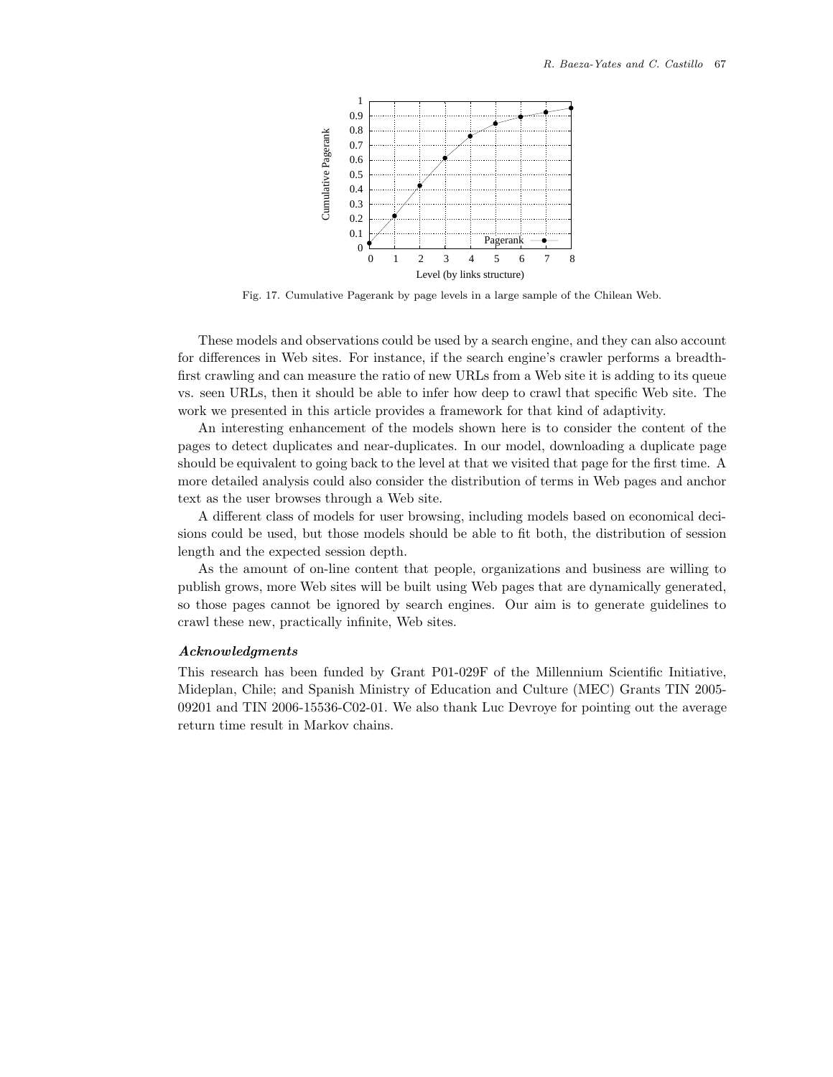

Fig. 17. Cumulative Pagerank by page levels in a large sample of the Chilean Web.

These models and observations could be used by a search engine, and they can also account for differences in Web sites. For instance, if the search engine's crawler performs a breadthfirst crawling and can measure the ratio of new URLs from a Web site it is adding to its queue vs. seen URLs, then it should be able to infer how deep to crawl that specific Web site. The work we presented in this article provides a framework for that kind of adaptivity.

An interesting enhancement of the models shown here is to consider the content of the pages to detect duplicates and near-duplicates. In our model, downloading a duplicate page should be equivalent to going back to the level at that we visited that page for the first time. A more detailed analysis could also consider the distribution of terms in Web pages and anchor text as the user browses through a Web site.

A different class of models for user browsing, including models based on economical decisions could be used, but those models should be able to fit both, the distribution of session length and the expected session depth.

As the amount of on-line content that people, organizations and business are willing to publish grows, more Web sites will be built using Web pages that are dynamically generated, so those pages cannot be ignored by search engines. Our aim is to generate guidelines to crawl these new, practically infinite, Web sites.

## *Acknowledgments*

This research has been funded by Grant P01-029F of the Millennium Scientific Initiative, Mideplan, Chile; and Spanish Ministry of Education and Culture (MEC) Grants TIN 2005- 09201 and TIN 2006-15536-C02-01. We also thank Luc Devroye for pointing out the average return time result in Markov chains.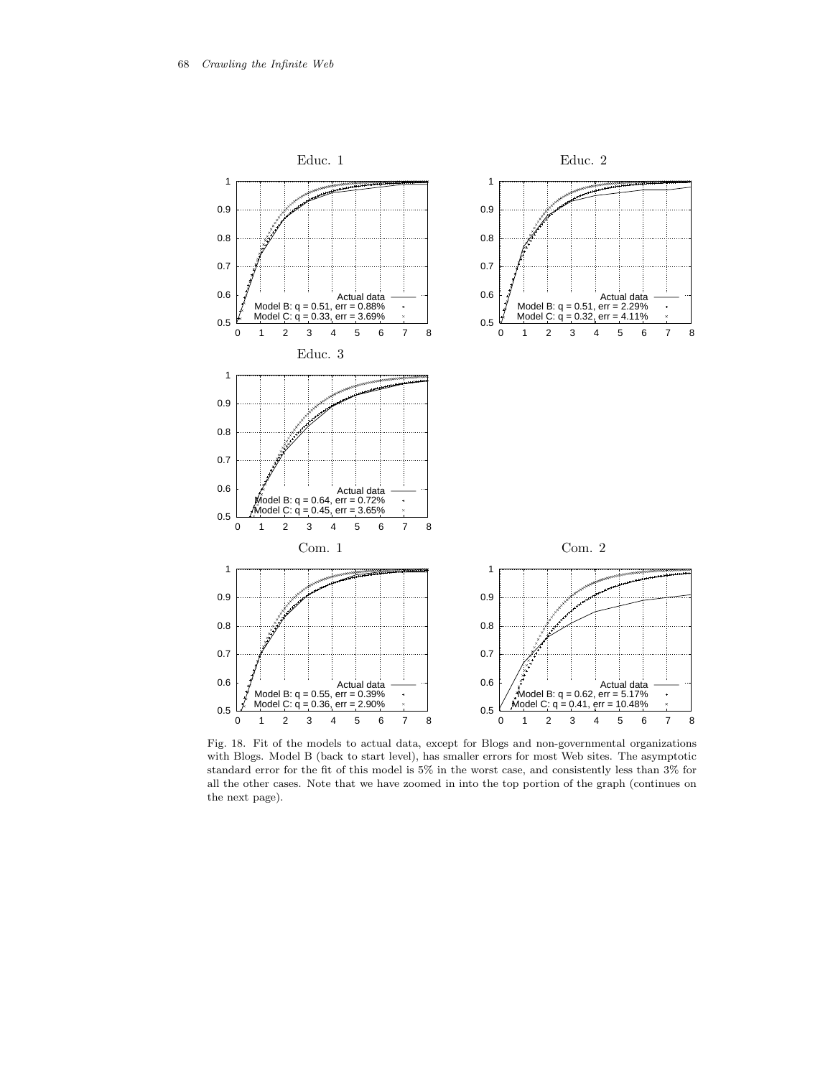

Fig. 18. Fit of the models to actual data, except for Blogs and non-governmental organizations with Blogs. Model B (back to start level), has smaller errors for most Web sites. The asymptotic standard error for the fit of this model is 5% in the worst case, and consistently less than 3% for all the other cases. Note that we have zoomed in into the top portion of the graph (continues on the next page).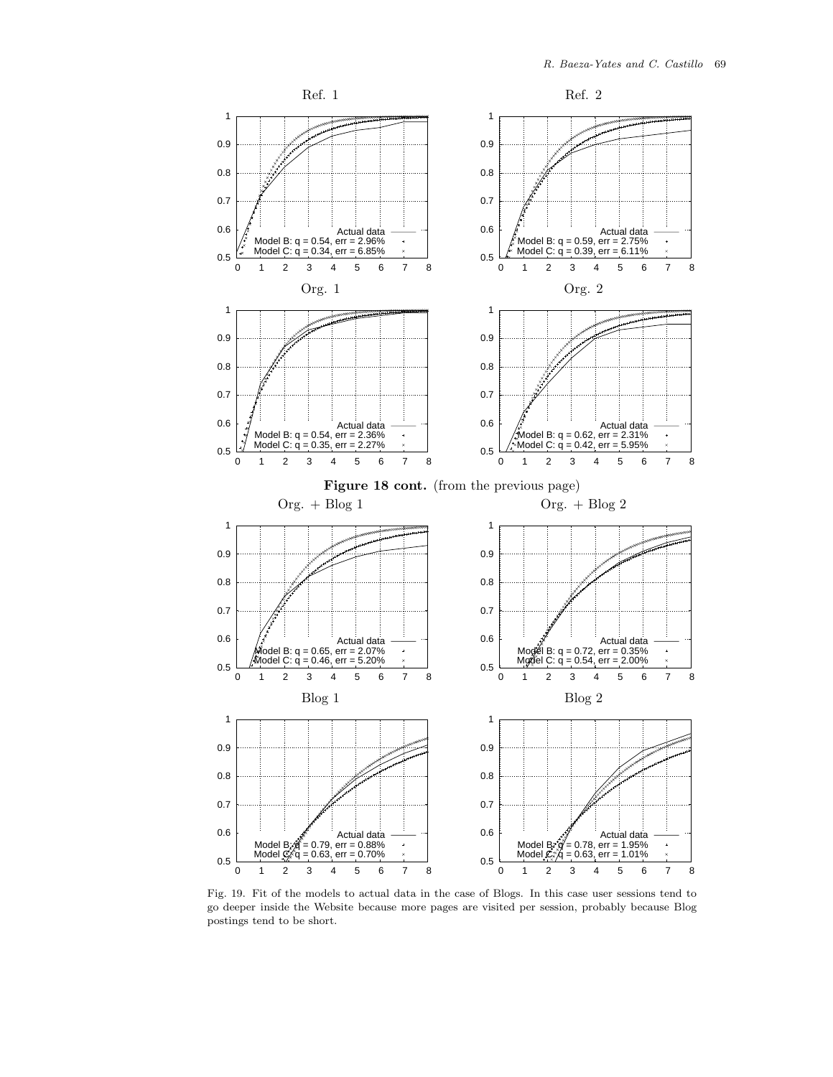

Fig. 19. Fit of the models to actual data in the case of Blogs. In this case user sessions tend to go deeper inside the Website because more pages are visited per session, probably because Blog postings tend to be short.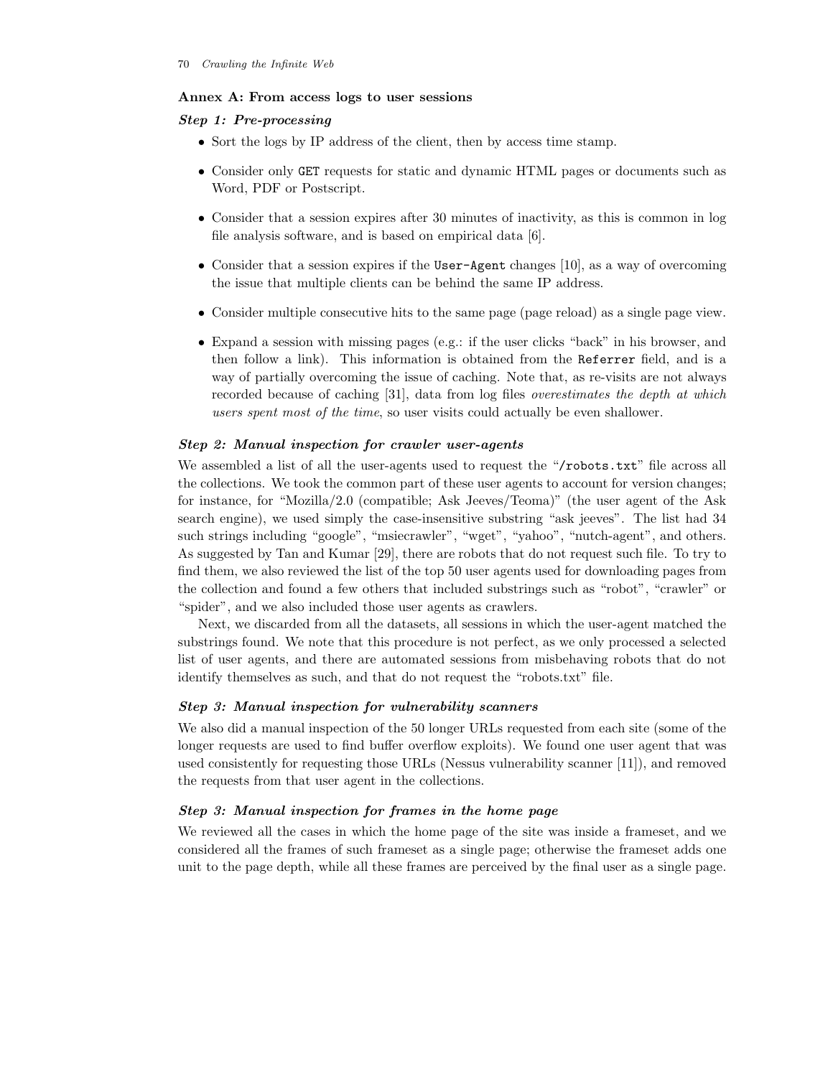## **Annex A: From access logs to user sessions**

# *Step 1: Pre-processing*

- Sort the logs by IP address of the client, then by access time stamp.
- Consider only GET requests for static and dynamic HTML pages or documents such as Word, PDF or Postscript.
- Consider that a session expires after 30 minutes of inactivity, as this is common in log file analysis software, and is based on empirical data [6].
- Consider that a session expires if the User-Agent changes [10], as a way of overcoming the issue that multiple clients can be behind the same IP address.
- Consider multiple consecutive hits to the same page (page reload) as a single page view.
- Expand a session with missing pages (e.g.: if the user clicks "back" in his browser, and then follow a link). This information is obtained from the Referrer field, and is a way of partially overcoming the issue of caching. Note that, as re-visits are not always recorded because of caching [31], data from log files *overestimates the depth at which users spent most of the time*, so user visits could actually be even shallower.

## *Step 2: Manual inspection for crawler user-agents*

We assembled a list of all the user-agents used to request the "/robots.txt" file across all the collections. We took the common part of these user agents to account for version changes; for instance, for "Mozilla/2.0 (compatible; Ask Jeeves/Teoma)" (the user agent of the Ask search engine), we used simply the case-insensitive substring "ask jeeves". The list had 34 such strings including "google", "msiecrawler", "wget", "yahoo", "nutch-agent", and others. As suggested by Tan and Kumar [29], there are robots that do not request such file. To try to find them, we also reviewed the list of the top 50 user agents used for downloading pages from the collection and found a few others that included substrings such as "robot", "crawler" or "spider", and we also included those user agents as crawlers.

Next, we discarded from all the datasets, all sessions in which the user-agent matched the substrings found. We note that this procedure is not perfect, as we only processed a selected list of user agents, and there are automated sessions from misbehaving robots that do not identify themselves as such, and that do not request the "robots.txt" file.

### *Step 3: Manual inspection for vulnerability scanners*

We also did a manual inspection of the 50 longer URLs requested from each site (some of the longer requests are used to find buffer overflow exploits). We found one user agent that was used consistently for requesting those URLs (Nessus vulnerability scanner [11]), and removed the requests from that user agent in the collections.

## *Step 3: Manual inspection for frames in the home page*

We reviewed all the cases in which the home page of the site was inside a frameset, and we considered all the frames of such frameset as a single page; otherwise the frameset adds one unit to the page depth, while all these frames are perceived by the final user as a single page.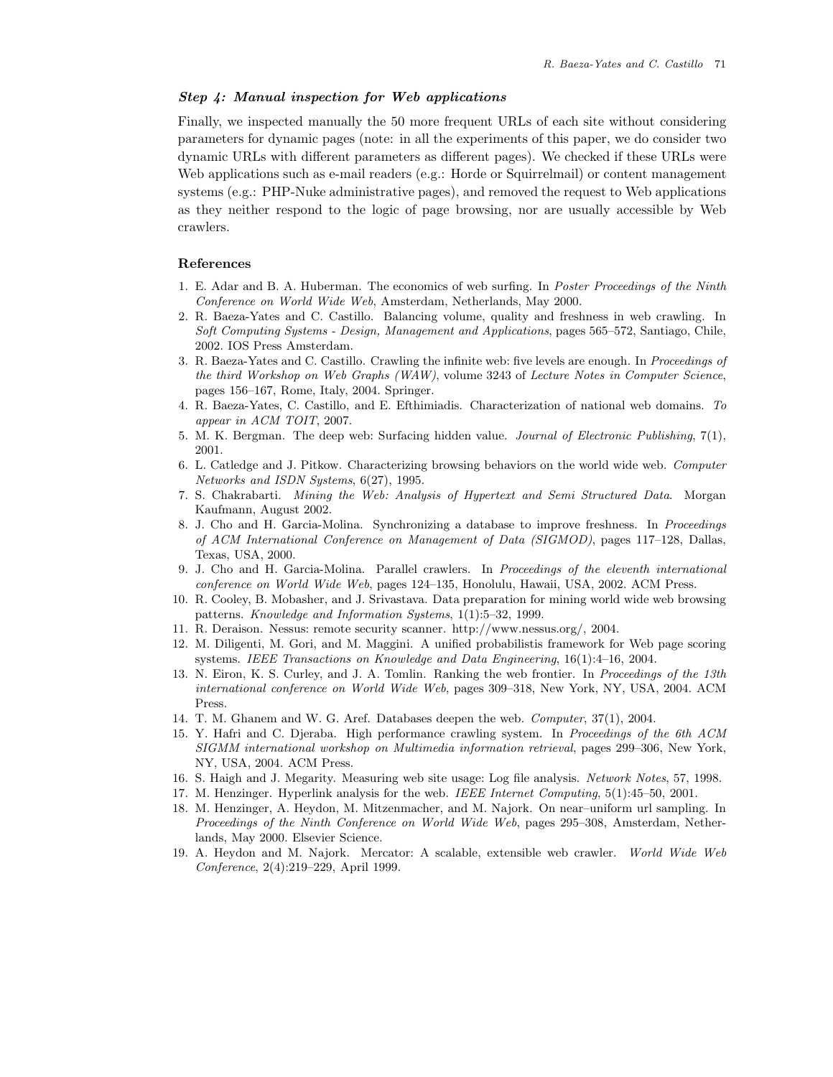# *Step 4: Manual inspection for Web applications*

Finally, we inspected manually the 50 more frequent URLs of each site without considering parameters for dynamic pages (note: in all the experiments of this paper, we do consider two dynamic URLs with different parameters as different pages). We checked if these URLs were Web applications such as e-mail readers (e.g.: Horde or Squirrelmail) or content management systems (e.g.: PHP-Nuke administrative pages), and removed the request to Web applications as they neither respond to the logic of page browsing, nor are usually accessible by Web crawlers.

## **References**

- 1. E. Adar and B. A. Huberman. The economics of web surfing. In *Poster Proceedings of the Ninth Conference on World Wide Web*, Amsterdam, Netherlands, May 2000.
- 2. R. Baeza-Yates and C. Castillo. Balancing volume, quality and freshness in web crawling. In *Soft Computing Systems - Design, Management and Applications*, pages 565–572, Santiago, Chile, 2002. IOS Press Amsterdam.
- 3. R. Baeza-Yates and C. Castillo. Crawling the infinite web: five levels are enough. In *Proceedings of the third Workshop on Web Graphs (WAW)*, volume 3243 of *Lecture Notes in Computer Science*, pages 156–167, Rome, Italy, 2004. Springer.
- 4. R. Baeza-Yates, C. Castillo, and E. Efthimiadis. Characterization of national web domains. *To appear in ACM TOIT*, 2007.
- 5. M. K. Bergman. The deep web: Surfacing hidden value. *Journal of Electronic Publishing*, 7(1), 2001.
- 6. L. Catledge and J. Pitkow. Characterizing browsing behaviors on the world wide web. *Computer Networks and ISDN Systems*, 6(27), 1995.
- 7. S. Chakrabarti. *Mining the Web: Analysis of Hypertext and Semi Structured Data*. Morgan Kaufmann, August 2002.
- 8. J. Cho and H. Garcia-Molina. Synchronizing a database to improve freshness. In *Proceedings of ACM International Conference on Management of Data (SIGMOD)*, pages 117–128, Dallas, Texas, USA, 2000.
- 9. J. Cho and H. Garcia-Molina. Parallel crawlers. In *Proceedings of the eleventh international conference on World Wide Web*, pages 124–135, Honolulu, Hawaii, USA, 2002. ACM Press.
- 10. R. Cooley, B. Mobasher, and J. Srivastava. Data preparation for mining world wide web browsing patterns. *Knowledge and Information Systems*, 1(1):5–32, 1999.
- 11. R. Deraison. Nessus: remote security scanner. http://www.nessus.org/, 2004.
- 12. M. Diligenti, M. Gori, and M. Maggini. A unified probabilistis framework for Web page scoring systems. *IEEE Transactions on Knowledge and Data Engineering*, 16(1):4–16, 2004.
- 13. N. Eiron, K. S. Curley, and J. A. Tomlin. Ranking the web frontier. In *Proceedings of the 13th international conference on World Wide Web*, pages 309–318, New York, NY, USA, 2004. ACM Press.
- 14. T. M. Ghanem and W. G. Aref. Databases deepen the web. *Computer*, 37(1), 2004.
- 15. Y. Hafri and C. Djeraba. High performance crawling system. In *Proceedings of the 6th ACM SIGMM international workshop on Multimedia information retrieval*, pages 299–306, New York, NY, USA, 2004. ACM Press.
- 16. S. Haigh and J. Megarity. Measuring web site usage: Log file analysis. *Network Notes*, 57, 1998.
- 17. M. Henzinger. Hyperlink analysis for the web. *IEEE Internet Computing*, 5(1):45–50, 2001.
- 18. M. Henzinger, A. Heydon, M. Mitzenmacher, and M. Najork. On near–uniform url sampling. In *Proceedings of the Ninth Conference on World Wide Web*, pages 295–308, Amsterdam, Netherlands, May 2000. Elsevier Science.
- 19. A. Heydon and M. Najork. Mercator: A scalable, extensible web crawler. *World Wide Web Conference*, 2(4):219–229, April 1999.